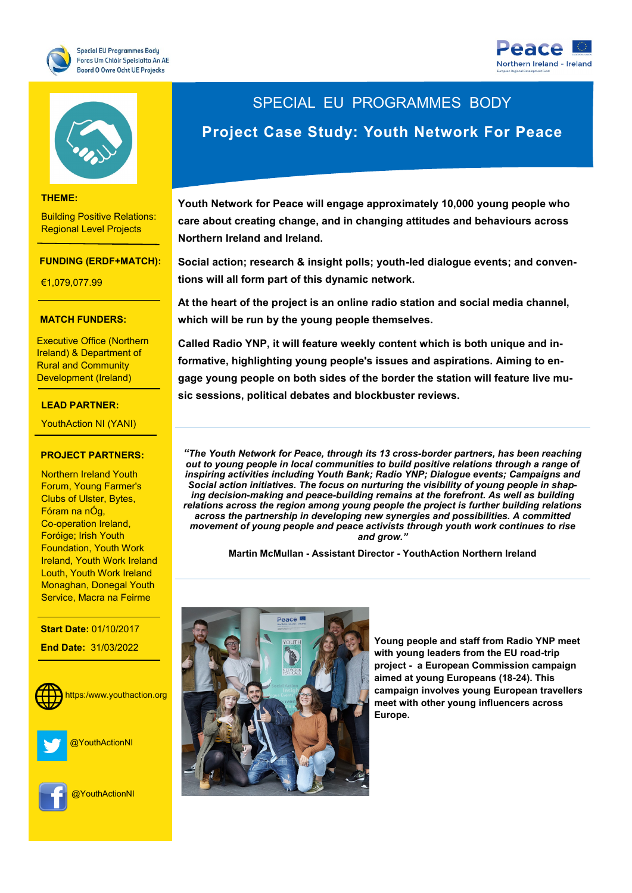





#### **THEME:**

Building Positive Relations: Regional Level Projects

#### **FUNDING (ERDF+MATCH):**

€1,079,077.99

### **THEME: MATCH FUNDERS:**

Executive Office (Northern Rural and Community Ireland) & Department of Development (Ireland)

#### **LEAD PARTNER:**

YouthAction NI (YANI)

#### **PROJECT PARTNERS:**

**Northern Ireland Youth** Forum, Young Farmer's <mark>Fóram na nÓg,</mark> Foróige; Irish Youth Ireland, Youth Work Ireland Service, Macra na Feirme Clubs of Ulster, Bytes, Co-operation Ireland, Foundation, Youth Work Louth, Youth Work Ireland Monaghan, Donegal Youth

**Start Date: 01/10/2017 End Date:** 31/03/2022

**WEBSITE:**



@YouthActionNI



@YouthActionNI

# SPECIAL EU PROGRAMMES BODY

# **Project Case Study: Youth Network For Peace**

**Youth Network for Peace will engage approximately 10,000 young people who care about creating change, and in changing attitudes and behaviours across Northern Ireland and Ireland.** 

**Social action; research & insight polls; youth-led dialogue events; and conventions will all form part of this dynamic network.**

**At the heart of the project is an online radio station and social media channel, which will be run by the young people themselves.** 

**Called Radio YNP, it will feature weekly content which is both unique and informative, highlighting young people's issues and aspirations. Aiming to engage young people on both sides of the border the station will feature live music sessions, political debates and blockbuster reviews.** 

*"The Youth Network for Peace, through its 13 cross-border partners, has been reaching out to young people in local communities to build positive relations through a range of inspiring activities including Youth Bank; Radio YNP; Dialogue events; Campaigns and Social action initiatives. The focus on nurturing the visibility of young people in shaping decision-making and peace-building remains at the forefront. As well as building relations across the region among young people the project is further building relations across the partnership in developing new synergies and possibilities. A committed movement of young people and peace activists through youth work continues to rise and grow."*

**Martin McMullan - Assistant Director - YouthAction Northern Ireland** 



**Young people and staff from Radio YNP meet with young leaders from the EU road-trip project - a European Commission campaign aimed at young Europeans (18-24). This campaign involves young European travellers meet with other young influencers across Europe.**